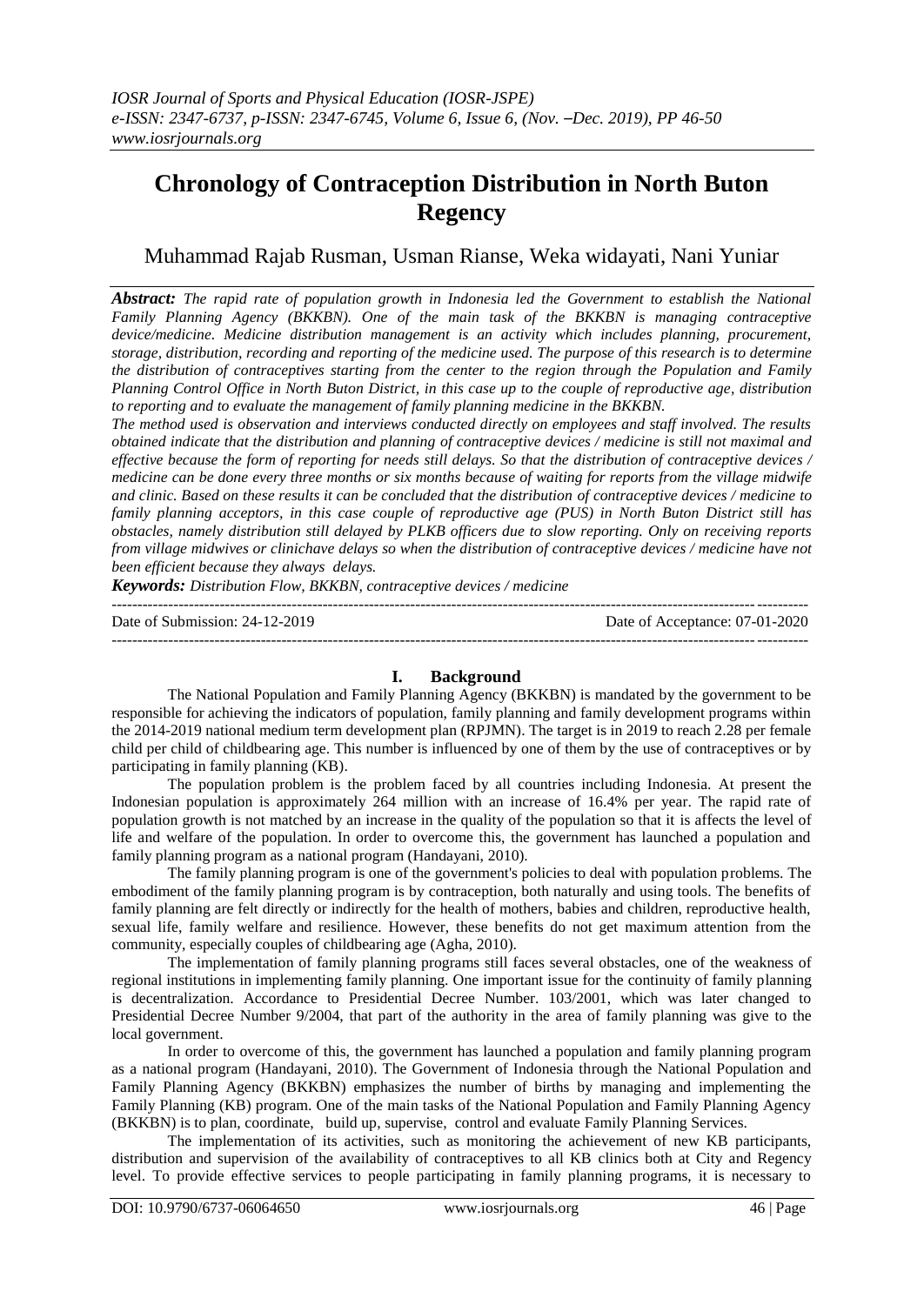# **Chronology of Contraception Distribution in North Buton Regency**

Muhammad Rajab Rusman, Usman Rianse, Weka widayati, Nani Yuniar

*Abstract: The rapid rate of population growth in Indonesia led the Government to establish the National Family Planning Agency (BKKBN). One of the main task of the BKKBN is managing contraceptive device/medicine. Medicine distribution management is an activity which includes planning, procurement, storage, distribution, recording and reporting of the medicine used. The purpose of this research is to determine the distribution of contraceptives starting from the center to the region through the Population and Family Planning Control Office in North Buton District, in this case up to the couple of reproductive age, distribution to reporting and to evaluate the management of family planning medicine in the BKKBN.*

*The method used is observation and interviews conducted directly on employees and staff involved. The results obtained indicate that the distribution and planning of contraceptive devices / medicine is still not maximal and effective because the form of reporting for needs still delays. So that the distribution of contraceptive devices / medicine can be done every three months or six months because of waiting for reports from the village midwife and clinic. Based on these results it can be concluded that the distribution of contraceptive devices / medicine to family planning acceptors, in this case couple of reproductive age (PUS) in North Buton District still has obstacles, namely distribution still delayed by PLKB officers due to slow reporting. Only on receiving reports from village midwives or clinichave delays so when the distribution of contraceptive devices / medicine have not been efficient because they always delays.*

*Keywords: Distribution Flow, BKKBN, contraceptive devices / medicine*

| Date of Submission: $24-12-2019$ | Date of Acceptance: 07-01-2020 |
|----------------------------------|--------------------------------|
|                                  |                                |

# **I. Background**

The National Population and Family Planning Agency (BKKBN) is mandated by the government to be responsible for achieving the indicators of population, family planning and family development programs within the 2014-2019 national medium term development plan (RPJMN). The target is in 2019 to reach 2.28 per female child per child of childbearing age. This number is influenced by one of them by the use of contraceptives or by participating in family planning (KB).

The population problem is the problem faced by all countries including Indonesia. At present the Indonesian population is approximately 264 million with an increase of 16.4% per year. The rapid rate of population growth is not matched by an increase in the quality of the population so that it is affects the level of life and welfare of the population. In order to overcome this, the government has launched a population and family planning program as a national program (Handayani, 2010).

The family planning program is one of the government's policies to deal with population problems. The embodiment of the family planning program is by contraception, both naturally and using tools. The benefits of family planning are felt directly or indirectly for the health of mothers, babies and children, reproductive health, sexual life, family welfare and resilience. However, these benefits do not get maximum attention from the community, especially couples of childbearing age (Agha, 2010).

The implementation of family planning programs still faces several obstacles, one of the weakness of regional institutions in implementing family planning. One important issue for the continuity of family planning is decentralization. Accordance to Presidential Decree Number. 103/2001, which was later changed to Presidential Decree Number 9/2004, that part of the authority in the area of family planning was give to the local government.

In order to overcome of this, the government has launched a population and family planning program as a national program (Handayani, 2010). The Government of Indonesia through the National Population and Family Planning Agency (BKKBN) emphasizes the number of births by managing and implementing the Family Planning (KB) program. One of the main tasks of the National Population and Family Planning Agency (BKKBN) is to plan, coordinate, build up, supervise, control and evaluate Family Planning Services.

The implementation of its activities, such as monitoring the achievement of new KB participants, distribution and supervision of the availability of contraceptives to all KB clinics both at City and Regency level. To provide effective services to people participating in family planning programs, it is necessary to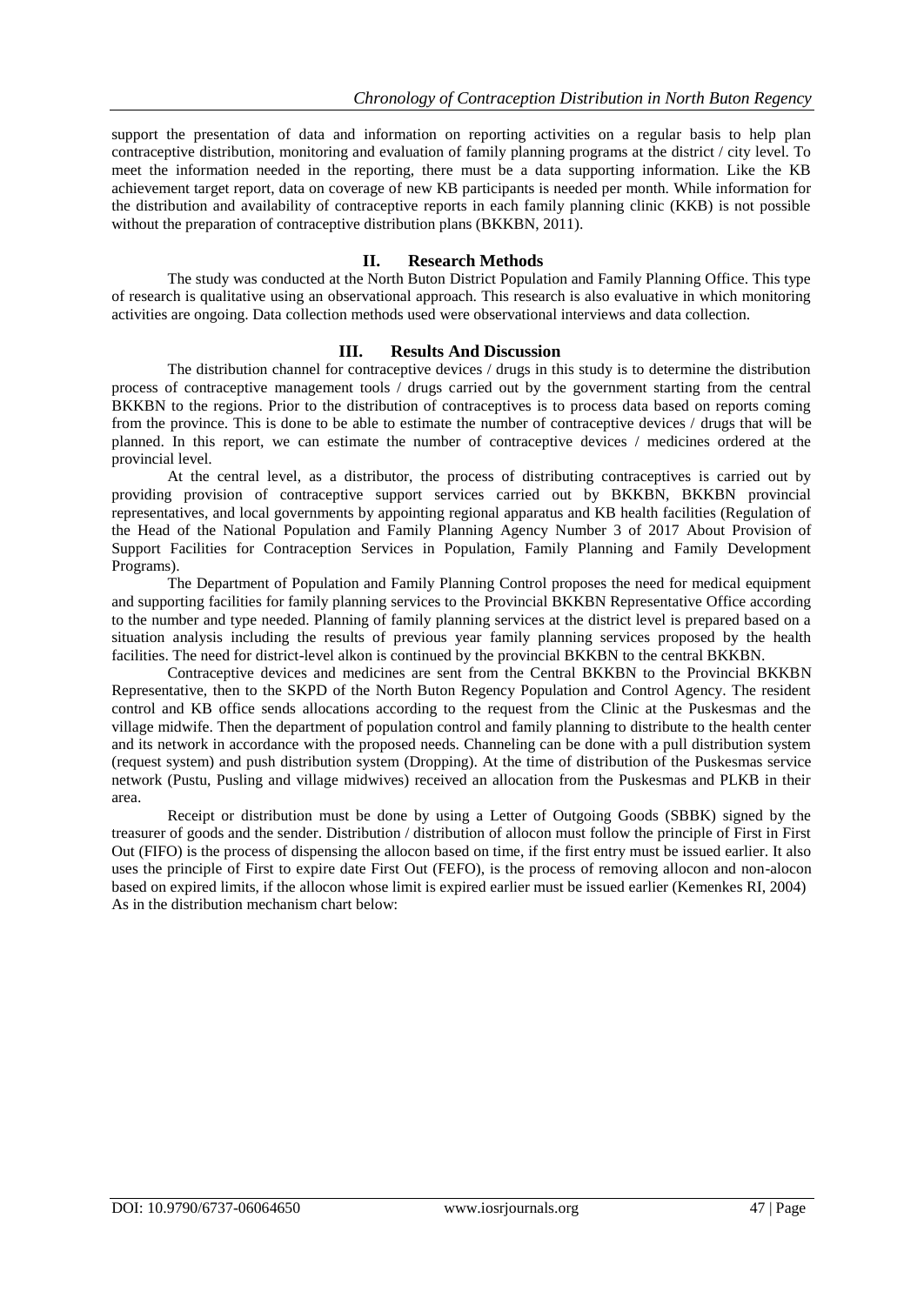support the presentation of data and information on reporting activities on a regular basis to help plan contraceptive distribution, monitoring and evaluation of family planning programs at the district / city level. To meet the information needed in the reporting, there must be a data supporting information. Like the KB achievement target report, data on coverage of new KB participants is needed per month. While information for the distribution and availability of contraceptive reports in each family planning clinic (KKB) is not possible without the preparation of contraceptive distribution plans (BKKBN, 2011).

## **II. Research Methods**

The study was conducted at the North Buton District Population and Family Planning Office. This type of research is qualitative using an observational approach. This research is also evaluative in which monitoring activities are ongoing. Data collection methods used were observational interviews and data collection.

## **III. Results And Discussion**

The distribution channel for contraceptive devices / drugs in this study is to determine the distribution process of contraceptive management tools / drugs carried out by the government starting from the central BKKBN to the regions. Prior to the distribution of contraceptives is to process data based on reports coming from the province. This is done to be able to estimate the number of contraceptive devices / drugs that will be planned. In this report, we can estimate the number of contraceptive devices / medicines ordered at the provincial level.

At the central level, as a distributor, the process of distributing contraceptives is carried out by providing provision of contraceptive support services carried out by BKKBN, BKKBN provincial representatives, and local governments by appointing regional apparatus and KB health facilities (Regulation of the Head of the National Population and Family Planning Agency Number 3 of 2017 About Provision of Support Facilities for Contraception Services in Population, Family Planning and Family Development Programs).

The Department of Population and Family Planning Control proposes the need for medical equipment and supporting facilities for family planning services to the Provincial BKKBN Representative Office according to the number and type needed. Planning of family planning services at the district level is prepared based on a situation analysis including the results of previous year family planning services proposed by the health facilities. The need for district-level alkon is continued by the provincial BKKBN to the central BKKBN.

Contraceptive devices and medicines are sent from the Central BKKBN to the Provincial BKKBN Representative, then to the SKPD of the North Buton Regency Population and Control Agency. The resident control and KB office sends allocations according to the request from the Clinic at the Puskesmas and the village midwife. Then the department of population control and family planning to distribute to the health center and its network in accordance with the proposed needs. Channeling can be done with a pull distribution system (request system) and push distribution system (Dropping). At the time of distribution of the Puskesmas service network (Pustu, Pusling and village midwives) received an allocation from the Puskesmas and PLKB in their area.

Receipt or distribution must be done by using a Letter of Outgoing Goods (SBBK) signed by the treasurer of goods and the sender. Distribution / distribution of allocon must follow the principle of First in First Out (FIFO) is the process of dispensing the allocon based on time, if the first entry must be issued earlier. It also uses the principle of First to expire date First Out (FEFO), is the process of removing allocon and non-alocon based on expired limits, if the allocon whose limit is expired earlier must be issued earlier (Kemenkes RI, 2004) As in the distribution mechanism chart below: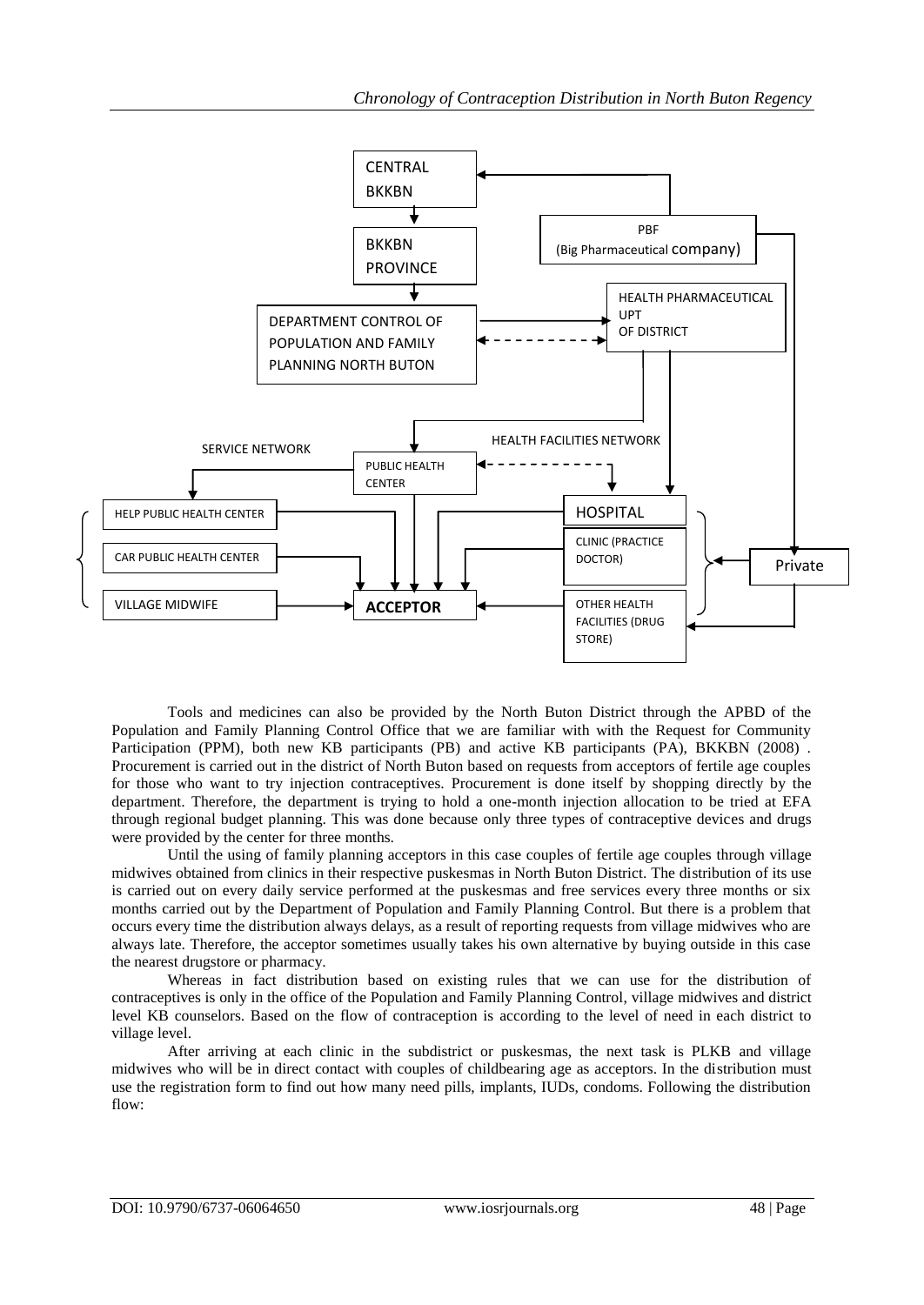

Tools and medicines can also be provided by the North Buton District through the APBD of the Population and Family Planning Control Office that we are familiar with with the Request for Community Participation (PPM), both new KB participants (PB) and active KB participants (PA), BKKBN (2008). Procurement is carried out in the district of North Buton based on requests from acceptors of fertile age couples for those who want to try injection contraceptives. Procurement is done itself by shopping directly by the department. Therefore, the department is trying to hold a one-month injection allocation to be tried at EFA through regional budget planning. This was done because only three types of contraceptive devices and drugs were provided by the center for three months.

Until the using of family planning acceptors in this case couples of fertile age couples through village midwives obtained from clinics in their respective puskesmas in North Buton District. The distribution of its use is carried out on every daily service performed at the puskesmas and free services every three months or six months carried out by the Department of Population and Family Planning Control. But there is a problem that occurs every time the distribution always delays, as a result of reporting requests from village midwives who are always late. Therefore, the acceptor sometimes usually takes his own alternative by buying outside in this case the nearest drugstore or pharmacy.

Whereas in fact distribution based on existing rules that we can use for the distribution of contraceptives is only in the office of the Population and Family Planning Control, village midwives and district level KB counselors. Based on the flow of contraception is according to the level of need in each district to village level.

After arriving at each clinic in the subdistrict or puskesmas, the next task is PLKB and village midwives who will be in direct contact with couples of childbearing age as acceptors. In the distribution must use the registration form to find out how many need pills, implants, IUDs, condoms. Following the distribution flow: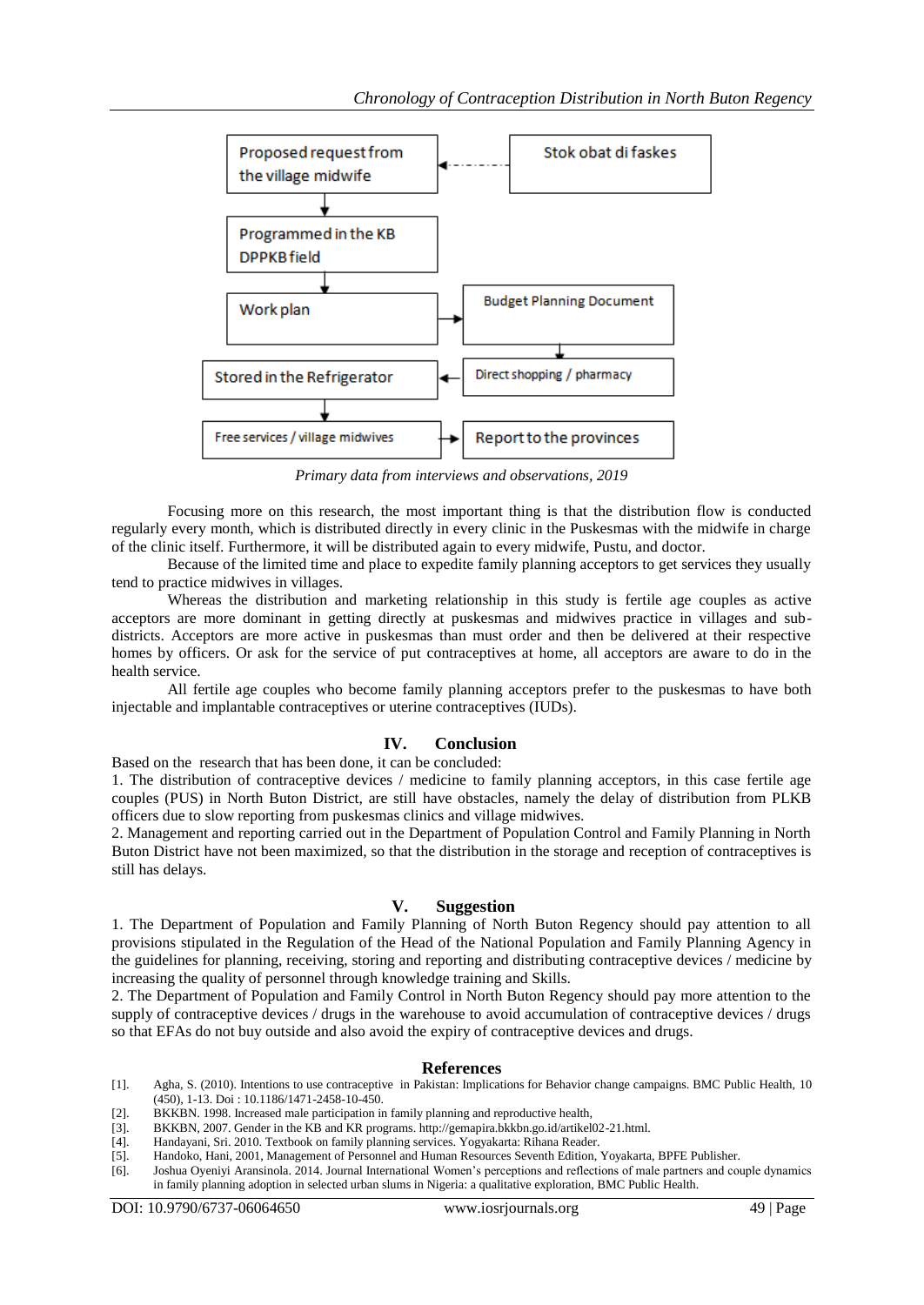

*Primary data from interviews and observations, 2019*

Focusing more on this research, the most important thing is that the distribution flow is conducted regularly every month, which is distributed directly in every clinic in the Puskesmas with the midwife in charge of the clinic itself. Furthermore, it will be distributed again to every midwife, Pustu, and doctor.

Because of the limited time and place to expedite family planning acceptors to get services they usually tend to practice midwives in villages.

Whereas the distribution and marketing relationship in this study is fertile age couples as active acceptors are more dominant in getting directly at puskesmas and midwives practice in villages and subdistricts. Acceptors are more active in puskesmas than must order and then be delivered at their respective homes by officers. Or ask for the service of put contraceptives at home, all acceptors are aware to do in the health service.

All fertile age couples who become family planning acceptors prefer to the puskesmas to have both injectable and implantable contraceptives or uterine contraceptives (IUDs).

#### **IV. Conclusion**

Based on the research that has been done, it can be concluded:

1. The distribution of contraceptive devices / medicine to family planning acceptors, in this case fertile age couples (PUS) in North Buton District, are still have obstacles, namely the delay of distribution from PLKB officers due to slow reporting from puskesmas clinics and village midwives.

2. Management and reporting carried out in the Department of Population Control and Family Planning in North Buton District have not been maximized, so that the distribution in the storage and reception of contraceptives is still has delays.

#### **V. Suggestion**

1. The Department of Population and Family Planning of North Buton Regency should pay attention to all provisions stipulated in the Regulation of the Head of the National Population and Family Planning Agency in the guidelines for planning, receiving, storing and reporting and distributing contraceptive devices / medicine by increasing the quality of personnel through knowledge training and Skills.

2. The Department of Population and Family Control in North Buton Regency should pay more attention to the supply of contraceptive devices / drugs in the warehouse to avoid accumulation of contraceptive devices / drugs so that EFAs do not buy outside and also avoid the expiry of contraceptive devices and drugs.

#### **References**

- [1]. Agha, S. (2010). Intentions to use contraceptive in Pakistan: Implications for Behavior change campaigns. BMC Public Health, 10 (450), 1-13. Doi : 10.1186/1471-2458-10-450.
- [2]. BKKBN. 1998. Increased male participation in family planning and reproductive health, [3]. BKKBN, 2007. Gender in the KB and KR programs. http://gemapira.bkkbn.go.id/artikel
- BKKBN, 2007. Gender in the KB and KR programs. http://gemapira.bkkbn.go.id/artikel02-21.html.
- [4]. Handayani, Sri. 2010. Textbook on family planning services. Yogyakarta: Rihana Reader.
- [5]. Handoko, Hani, 2001, Management of Personnel and Human Resources Seventh Edition, Yoyakarta, BPFE Publisher.
- [6]. Joshua Oyeniyi Aransinola. 2014. Journal International Women's perceptions and reflections of male partners and couple dynamics in family planning adoption in selected urban slums in Nigeria: a qualitative exploration, BMC Public Health.